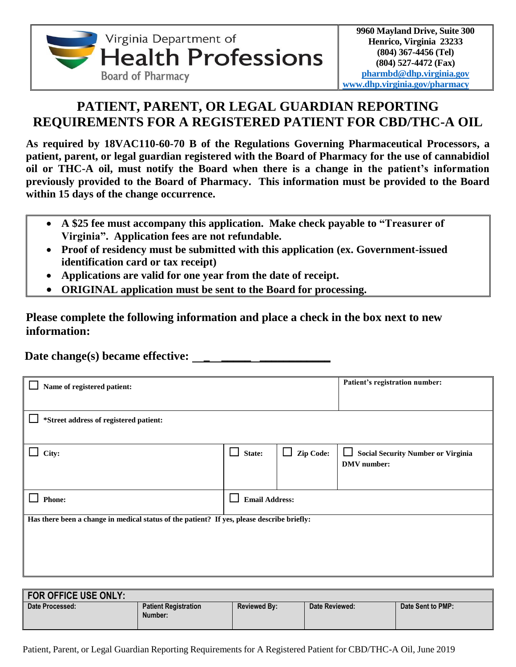

## **PATIENT, PARENT, OR LEGAL GUARDIAN REPORTING REQUIREMENTS FOR A REGISTERED PATIENT FOR CBD/THC-A OIL**

**As required by 18VAC110-60-70 B of the Regulations Governing Pharmaceutical Processors, a patient, parent, or legal guardian registered with the Board of Pharmacy for the use of cannabidiol oil or THC-A oil, must notify the Board when there is a change in the patient's information previously provided to the Board of Pharmacy. This information must be provided to the Board within 15 days of the change occurrence.**

- **A \$25 fee must accompany this application. Make check payable to "Treasurer of Virginia". Application fees are not refundable.**
- **Proof of residency must be submitted with this application (ex. Government-issued identification card or tax receipt)**
- **Applications are valid for one year from the date of receipt.**
- **ORIGINAL application must be sent to the Board for processing.**

**Please complete the following information and place a check in the box next to new information:**

 **Date change(s) became effective: \_ \_\_\_\_\_ \_\_\_\_\_\_\_\_\_\_\_\_**

| Name of registered patient:                                                                | Patient's registration number: |                     |                                                                           |  |  |  |  |
|--------------------------------------------------------------------------------------------|--------------------------------|---------------------|---------------------------------------------------------------------------|--|--|--|--|
| *Street address of registered patient:                                                     |                                |                     |                                                                           |  |  |  |  |
| City:                                                                                      | $\mathsf{L}$<br>State:         | Zip Code:<br>$\Box$ | <b>Social Security Number or Virginia</b><br>$\Box$<br><b>DMV</b> number: |  |  |  |  |
| <b>Phone:</b>                                                                              | <b>Email Address:</b>          |                     |                                                                           |  |  |  |  |
| Has there been a change in medical status of the patient? If yes, please describe briefly: |                                |                     |                                                                           |  |  |  |  |
|                                                                                            |                                |                     |                                                                           |  |  |  |  |

| <b>FOR OFFICE USE ONLY:</b> |                                        |                     |                |                   |
|-----------------------------|----------------------------------------|---------------------|----------------|-------------------|
| Date Processed:             | <b>Patient Registration</b><br>Number: | <b>Reviewed By:</b> | Date Reviewed: | Date Sent to PMP: |

Patient, Parent, or Legal Guardian Reporting Requirements for A Registered Patient for CBD/THC-A Oil, June 2019